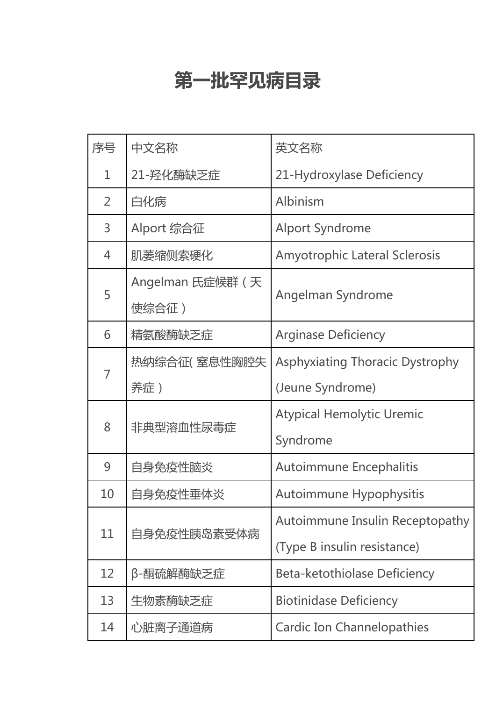## **第一批罕见病目录**

| 序号             | 中文名称                                            | 英文名称                                   |
|----------------|-------------------------------------------------|----------------------------------------|
| 1              | 21-羟化酶缺乏症                                       | 21-Hydroxylase Deficiency              |
| $\overline{2}$ | 白化病                                             | Albinism                               |
| $\overline{3}$ | Alport 综合征                                      | <b>Alport Syndrome</b>                 |
| 4              | <b>Amyotrophic Lateral Sclerosis</b><br>肌萎缩侧索硬化 |                                        |
| 5              | Angelman 氏症候群 (天<br>使综合征)                       | Angelman Syndrome                      |
| 6              | 精氨酸酶缺乏症                                         | <b>Arginase Deficiency</b>             |
|                | 热纳综合征( 窒息性胸腔失                                   | <b>Asphyxiating Thoracic Dystrophy</b> |
|                | 养症)                                             | (Jeune Syndrome)                       |
| 8              | 非典型溶血性尿毒症                                       | <b>Atypical Hemolytic Uremic</b>       |
|                |                                                 | Syndrome                               |
| 9              | 自身免疫性脑炎                                         | <b>Autoimmune Encephalitis</b>         |
| 10             | 自身免疫性垂体炎                                        | Autoimmune Hypophysitis                |
| 11             | 自身免疫性胰岛素受体病                                     | Autoimmune Insulin Receptopathy        |
|                |                                                 | (Type B insulin resistance)            |
| 12             | β-酮硫解酶缺乏症                                       | <b>Beta-ketothiolase Deficiency</b>    |
| 13             | 生物素酶缺乏症                                         | <b>Biotinidase Deficiency</b>          |
| 14             | 心脏离子通道病                                         | <b>Cardic Ion Channelopathies</b>      |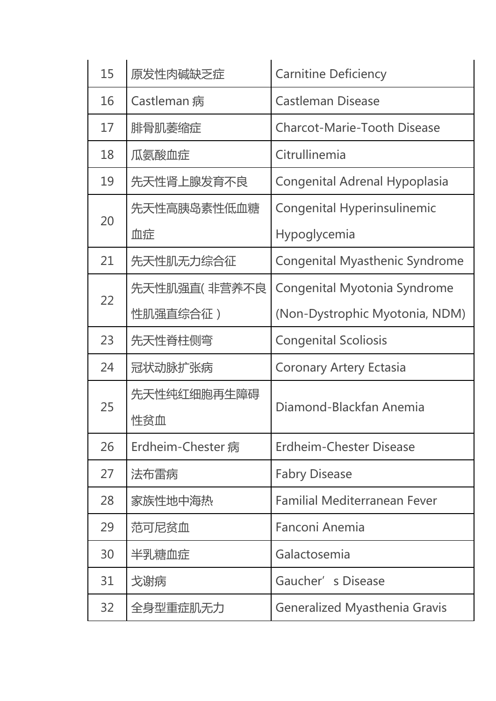|  | 15 | 原发性肉碱缺乏症           | <b>Carnitine Deficiency</b>           |  |
|--|----|--------------------|---------------------------------------|--|
|  | 16 | Castleman 病        | <b>Castleman Disease</b>              |  |
|  | 17 | 腓骨肌萎缩症             | <b>Charcot-Marie-Tooth Disease</b>    |  |
|  | 18 | 瓜氨酸血症              | Citrullinemia                         |  |
|  | 19 | 先天性肾上腺发育不良         | <b>Congenital Adrenal Hypoplasia</b>  |  |
|  |    | 先天性高胰岛素性低血糖        | <b>Congenital Hyperinsulinemic</b>    |  |
|  | 20 | 血症                 | Hypoglycemia                          |  |
|  | 21 | 先天性肌无力综合征          | <b>Congenital Myasthenic Syndrome</b> |  |
|  | 22 | 先天性肌强直( 非营养不良      | Congenital Myotonia Syndrome          |  |
|  |    | 性肌强直综合征)           | (Non-Dystrophic Myotonia, NDM)        |  |
|  | 23 | 先天性脊柱侧弯            | <b>Congenital Scoliosis</b>           |  |
|  | 24 | 冠状动脉扩张病            | <b>Coronary Artery Ectasia</b>        |  |
|  | 25 | 先天性纯红细胞再生障碍<br>性贫血 | Diamond-Blackfan Anemia               |  |
|  | 26 | Erdheim-Chester 病  | <b>Erdheim-Chester Disease</b>        |  |
|  | 27 | 法布雷病               | <b>Fabry Disease</b>                  |  |
|  | 28 | 家族性地中海热            | <b>Familial Mediterranean Fever</b>   |  |
|  | 29 | 范可尼贫血              | Fanconi Anemia                        |  |
|  | 30 | 半乳糖血症              | Galactosemia                          |  |
|  | 31 | 戈谢病                | Gaucher's Disease                     |  |
|  | 32 | 全身型重症肌无力           | <b>Generalized Myasthenia Gravis</b>  |  |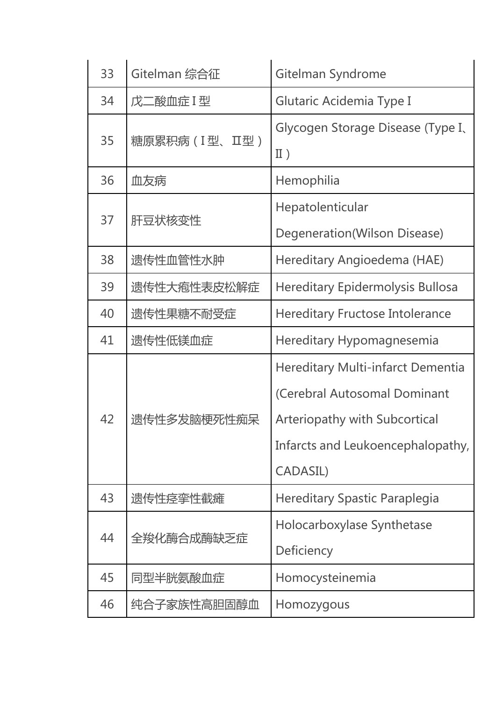| 33 | Gitelman 综合征  | Gitelman Syndrome                                                                                                                                   |  |
|----|---------------|-----------------------------------------------------------------------------------------------------------------------------------------------------|--|
| 34 | 戊二酸血症I型       | <b>Glutaric Acidemia Type I</b>                                                                                                                     |  |
| 35 | 糖原累积病(I型、II型) | Glycogen Storage Disease (Type I,<br>II)                                                                                                            |  |
| 36 | 血友病           | Hemophilia                                                                                                                                          |  |
| 37 | 肝豆状核变性        | Hepatolenticular<br>Degeneration(Wilson Disease)                                                                                                    |  |
| 38 | 遗传性血管性水肿      | Hereditary Angioedema (HAE)                                                                                                                         |  |
| 39 | 遗传性大疱性表皮松解症   | <b>Hereditary Epidermolysis Bullosa</b>                                                                                                             |  |
| 40 | 遗传性果糖不耐受症     | <b>Hereditary Fructose Intolerance</b>                                                                                                              |  |
| 41 | 遗传性低镁血症       | Hereditary Hypomagnesemia                                                                                                                           |  |
| 42 | 遗传性多发脑梗死性痴呆   | Hereditary Multi-infarct Dementia<br>(Cerebral Autosomal Dominant<br>Arteriopathy with Subcortical<br>Infarcts and Leukoencephalopathy,<br>CADASIL) |  |
| 43 | 遗传性痉挛性截瘫      | <b>Hereditary Spastic Paraplegia</b>                                                                                                                |  |
| 44 | 全羧化酶合成酶缺乏症    | Holocarboxylase Synthetase<br>Deficiency                                                                                                            |  |
| 45 | 同型半胱氨酸血症      | Homocysteinemia                                                                                                                                     |  |
| 46 | 纯合子家族性高胆固醇血   | Homozygous                                                                                                                                          |  |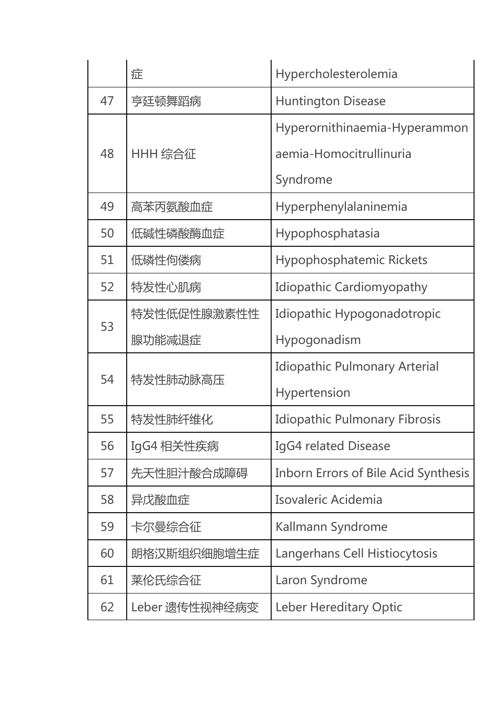|    | 症                     | Hypercholesterolemia                                                 |
|----|-----------------------|----------------------------------------------------------------------|
| 47 | 亨廷顿舞蹈病                | <b>Huntington Disease</b>                                            |
| 48 | HHH 综合征               | Hyperornithinaemia-Hyperammon<br>aemia-Homocitrullinuria<br>Syndrome |
| 49 | 高苯丙氨酸血症               | Hyperphenylalaninemia                                                |
| 50 | 低碱性磷酸酶血症              | Hypophosphatasia                                                     |
| 51 | 低磷性佝偻病                | Hypophosphatemic Rickets                                             |
| 52 | 特发性心肌病                | <b>Idiopathic Cardiomyopathy</b>                                     |
| 53 | 特发性低促性腺激素性性<br>腺功能减退症 | Idiopathic Hypogonadotropic<br>Hypogonadism                          |
| 54 | 特发性肺动脉高压              | <b>Idiopathic Pulmonary Arterial</b><br><b>Hypertension</b>          |
| 55 | 特发性肺纤维化               | <b>Idiopathic Pulmonary Fibrosis</b>                                 |
| 56 | IgG4 相关性疾病            | IgG4 related Disease                                                 |
| 57 | 先天性胆汁酸合成障碍            | <b>Inborn Errors of Bile Acid Synthesis</b>                          |
| 58 | 异戊酸血症                 | Isovaleric Acidemia                                                  |
| 59 | 卡尔曼综合征                | Kallmann Syndrome                                                    |
| 60 | 朗格汉斯组织细胞增生症           | Langerhans Cell Histiocytosis                                        |
| 61 | 莱伦氏综合征                | Laron Syndrome                                                       |
| 62 | Leber 遗传性视神经病变        | <b>Leber Hereditary Optic</b>                                        |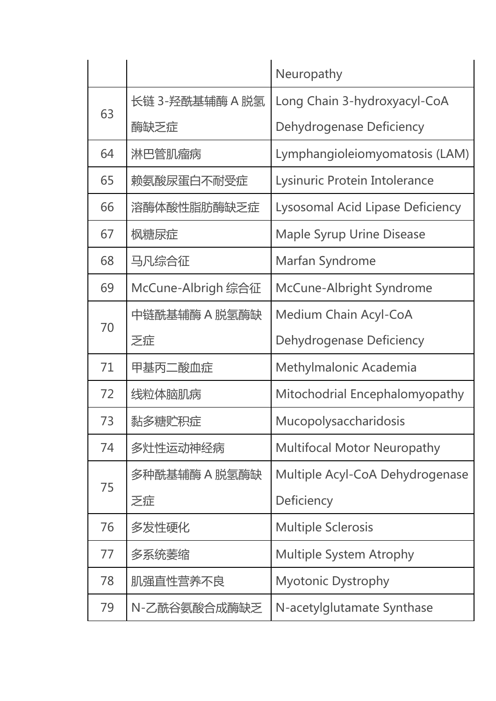|    |                    | Neuropathy                         |
|----|--------------------|------------------------------------|
|    | 长链 3-羟酰基辅酶 A 脱氢    | Long Chain 3-hydroxyacyl-CoA       |
| 63 | 酶缺乏症               | Dehydrogenase Deficiency           |
| 64 | 淋巴管肌瘤病             | Lymphangioleiomyomatosis (LAM)     |
| 65 | 赖氨酸尿蛋白不耐受症         | Lysinuric Protein Intolerance      |
| 66 | 溶酶体酸性脂肪酶缺乏症        | Lysosomal Acid Lipase Deficiency   |
| 67 | 枫糖尿症               | <b>Maple Syrup Urine Disease</b>   |
| 68 | 马凡综合征              | Marfan Syndrome                    |
| 69 | McCune-Albrigh 综合征 | McCune-Albright Syndrome           |
|    | 中链酰基辅酶 A 脱氢酶缺      | <b>Medium Chain Acyl-CoA</b>       |
| 70 | 乏症                 | Dehydrogenase Deficiency           |
| 71 | 甲基丙二酸血症            | Methylmalonic Academia             |
| 72 | 线粒体脑肌病             | Mitochodrial Encephalomyopathy     |
| 73 | 黏多糖贮积症             | Mucopolysaccharidosis              |
| 74 | 多灶性运动神经病           | <b>Multifocal Motor Neuropathy</b> |
|    | 多种酰基辅酶 A 脱氢酶缺      | Multiple Acyl-CoA Dehydrogenase    |
| 75 | 乏症                 | Deficiency                         |
| 76 | 多发性硬化              | <b>Multiple Sclerosis</b>          |
| 77 | 多系统萎缩              | <b>Multiple System Atrophy</b>     |
| 78 | 肌强直性营养不良           | <b>Myotonic Dystrophy</b>          |
| 79 | N-乙酰谷氨酸合成酶缺乏       | N-acetylglutamate Synthase         |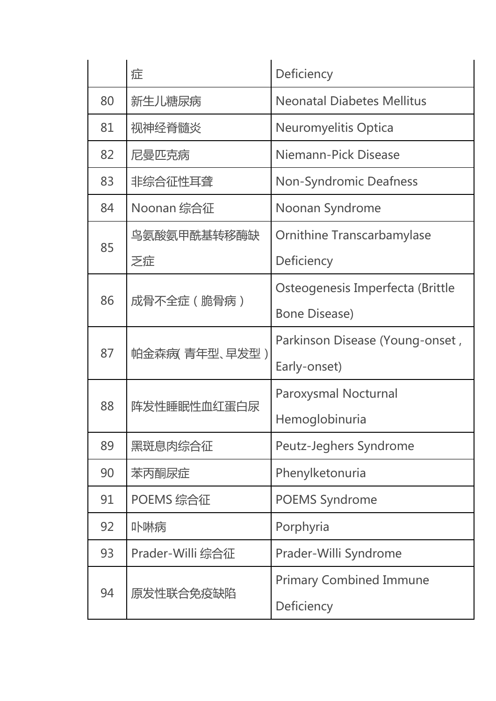|    | 症<br>Deficiency                          |                                   |
|----|------------------------------------------|-----------------------------------|
| 80 | 新生儿糖尿病                                   | <b>Neonatal Diabetes Mellitus</b> |
| 81 | 视神经脊髓炎                                   | <b>Neuromyelitis Optica</b>       |
| 82 | 尼曼匹克病                                    | Niemann-Pick Disease              |
| 83 | 非综合征性耳聋<br><b>Non-Syndromic Deafness</b> |                                   |
| 84 | Noonan 综合征                               | Noonan Syndrome                   |
|    | 鸟氨酸氨甲酰基转移酶缺                              | <b>Ornithine Transcarbamylase</b> |
| 85 | 乏症                                       | Deficiency                        |
| 86 | 成骨不全症(脆骨病)                               | Osteogenesis Imperfecta (Brittle  |
|    |                                          | <b>Bone Disease)</b>              |
| 87 | 帕金森病( 青年型、早发型 )                          | Parkinson Disease (Young-onset,   |
|    |                                          | Early-onset)                      |
| 88 | 阵发性睡眠性血红蛋白尿                              | Paroxysmal Nocturnal              |
|    |                                          | Hemoglobinuria                    |
| 89 | 黑斑息肉综合征                                  | Peutz-Jeghers Syndrome            |
| 90 | 苯丙酮尿症                                    | Phenylketonuria                   |
| 91 | POEMS 综合征                                | <b>POEMS Syndrome</b>             |
| 92 | 卟啉病                                      | Porphyria                         |
| 93 | Prader-Willi 综合征                         | Prader-Willi Syndrome             |
|    |                                          | <b>Primary Combined Immune</b>    |
| 94 | 原发性联合免疫缺陷                                | Deficiency                        |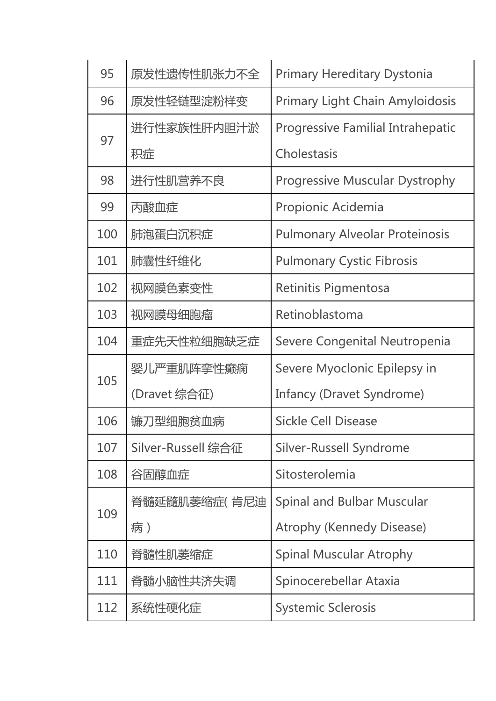| 95  | 原发性遗传性肌张力不全                                          | <b>Primary Hereditary Dystonia</b>       |  |
|-----|------------------------------------------------------|------------------------------------------|--|
| 96  | <b>Primary Light Chain Amyloidosis</b><br>原发性轻链型淀粉样变 |                                          |  |
|     | 进行性家族性肝内胆汁淤                                          | <b>Progressive Familial Intrahepatic</b> |  |
| 97  | 积症                                                   | Cholestasis                              |  |
| 98  | <b>Progressive Muscular Dystrophy</b><br>进行性肌营养不良    |                                          |  |
| 99  | 丙酸血症                                                 | Propionic Acidemia                       |  |
| 100 | 肺泡蛋白沉积症                                              | <b>Pulmonary Alveolar Proteinosis</b>    |  |
| 101 | 肺囊性纤维化                                               | <b>Pulmonary Cystic Fibrosis</b>         |  |
| 102 | 视网膜色素变性                                              | Retinitis Pigmentosa                     |  |
| 103 | 视网膜母细胞瘤                                              | Retinoblastoma                           |  |
| 104 | 重症先天性粒细胞缺乏症                                          | Severe Congenital Neutropenia            |  |
| 105 | 婴儿严重肌阵挛性癫痫                                           | Severe Myoclonic Epilepsy in             |  |
|     | (Dravet 综合征)                                         | <b>Infancy (Dravet Syndrome)</b>         |  |
| 106 | 镰刀型细胞贫血病                                             | <b>Sickle Cell Disease</b>               |  |
| 107 | Silver-Russell 综合征                                   | Silver-Russell Syndrome                  |  |
| 108 | 谷固醇血症                                                | Sitosterolemia                           |  |
|     | 脊髓延髓肌萎缩症( 肯尼迪                                        | <b>Spinal and Bulbar Muscular</b>        |  |
| 109 | 病)                                                   | <b>Atrophy (Kennedy Disease)</b>         |  |
| 110 | 脊髓性肌萎缩症                                              | <b>Spinal Muscular Atrophy</b>           |  |
| 111 | 脊髓小脑性共济失调                                            | Spinocerebellar Ataxia                   |  |
| 112 | 系统性硬化症                                               | <b>Systemic Sclerosis</b>                |  |